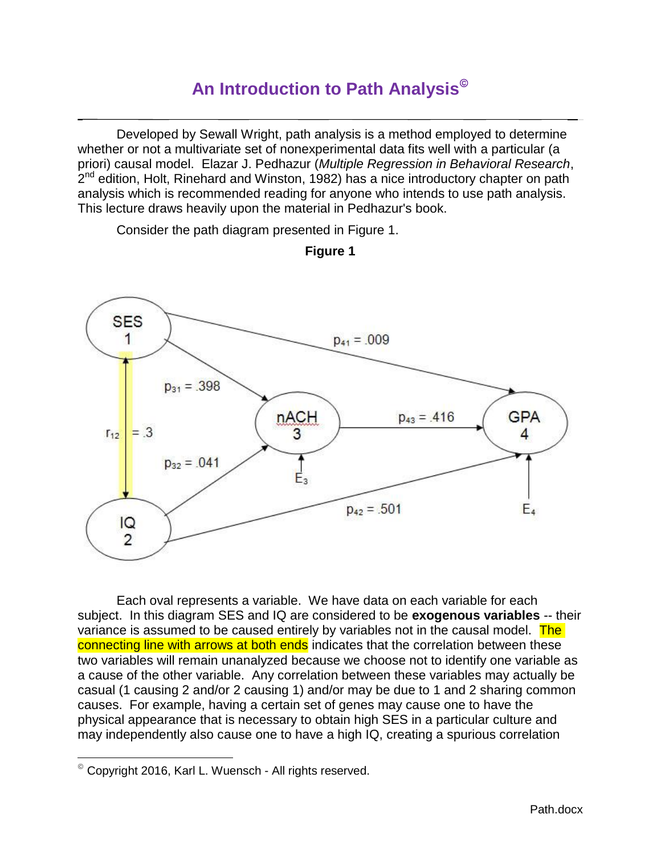# **An Introduction to Path Analysis**

Developed by Sewall Wright, path analysis is a method employed to determine whether or not a multivariate set of nonexperimental data fits well with a particular (a priori) causal model. Elazar J. Pedhazur (*Multiple Regression in Behavioral Research*, 2<sup>nd</sup> edition, Holt, Rinehard and Winston, 1982) has a nice introductory chapter on path analysis which is recommended reading for anyone who intends to use path analysis. This lecture draws heavily upon the material in Pedhazur's book.

Consider the path diagram presented in Figure 1.





Each oval represents a variable. We have data on each variable for each subject.In this diagram SES and IQ are considered to be **exogenous variables** -- their variance is assumed to be caused entirely by variables not in the causal model. The connecting line with arrows at both ends indicates that the correlation between these two variables will remain unanalyzed because we choose not to identify one variable as a cause of the other variable. Any correlation between these variables may actually be casual (1 causing 2 and/or 2 causing 1) and/or may be due to 1 and 2 sharing common causes. For example, having a certain set of genes may cause one to have the physical appearance that is necessary to obtain high SES in a particular culture and may independently also cause one to have a high IQ, creating a spurious correlation

l

Copyright 2016, Karl L. Wuensch - All rights reserved.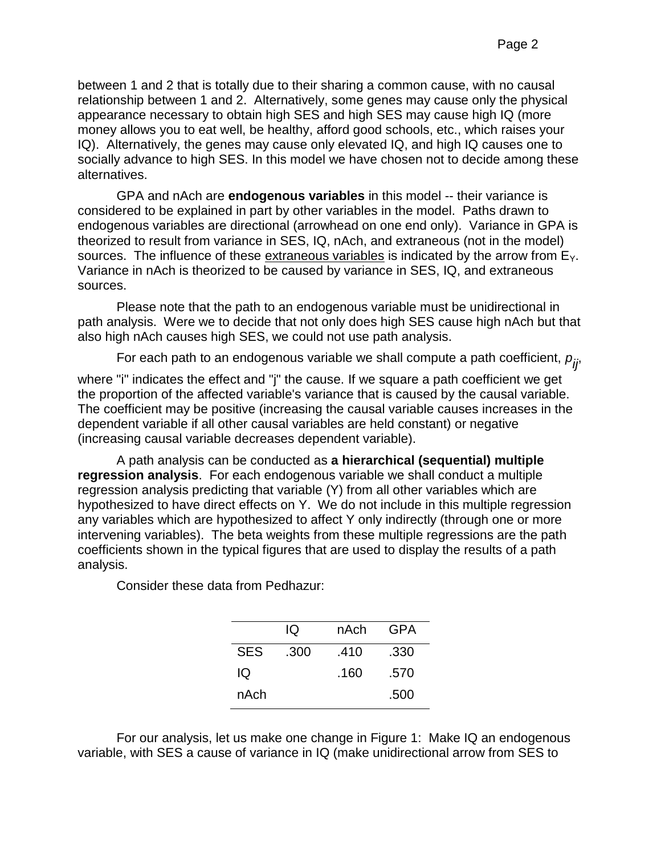between 1 and 2 that is totally due to their sharing a common cause, with no causal relationship between 1 and 2. Alternatively, some genes may cause only the physical appearance necessary to obtain high SES and high SES may cause high IQ (more money allows you to eat well, be healthy, afford good schools, etc., which raises your IQ). Alternatively, the genes may cause only elevated IQ, and high IQ causes one to socially advance to high SES. In this model we have chosen not to decide among these alternatives.

GPA and nAch are **endogenous variables** in this model -- their variance is considered to be explained in part by other variables in the model. Paths drawn to endogenous variables are directional (arrowhead on one end only). Variance in GPA is theorized to result from variance in SES, IQ, nAch, and extraneous (not in the model) sources. The influence of these extraneous variables is indicated by the arrow from  $E_{Y}$ . Variance in nAch is theorized to be caused by variance in SES, IQ, and extraneous sources.

Please note that the path to an endogenous variable must be unidirectional in path analysis. Were we to decide that not only does high SES cause high nAch but that also high nAch causes high SES, we could not use path analysis.

For each path to an endogenous variable we shall compute a path coefficient, *p ij*,

where "i" indicates the effect and "j" the cause. If we square a path coefficient we get the proportion of the affected variable's variance that is caused by the causal variable. The coefficient may be positive (increasing the causal variable causes increases in the dependent variable if all other causal variables are held constant) or negative (increasing causal variable decreases dependent variable).

A path analysis can be conducted as **a hierarchical (sequential) multiple regression analysis**. For each endogenous variable we shall conduct a multiple regression analysis predicting that variable (Y) from all other variables which are hypothesized to have direct effects on Y. We do not include in this multiple regression any variables which are hypothesized to affect Y only indirectly (through one or more intervening variables). The beta weights from these multiple regressions are the path coefficients shown in the typical figures that are used to display the results of a path analysis.

Consider these data from Pedhazur:

|            | IQ   | nAch | GPA  |
|------------|------|------|------|
| <b>SES</b> | .300 | .410 | .330 |
| IQ         |      | .160 | .570 |
| nAch       |      |      | .500 |

For our analysis, let us make one change in Figure 1: Make IQ an endogenous variable, with SES a cause of variance in IQ (make unidirectional arrow from SES to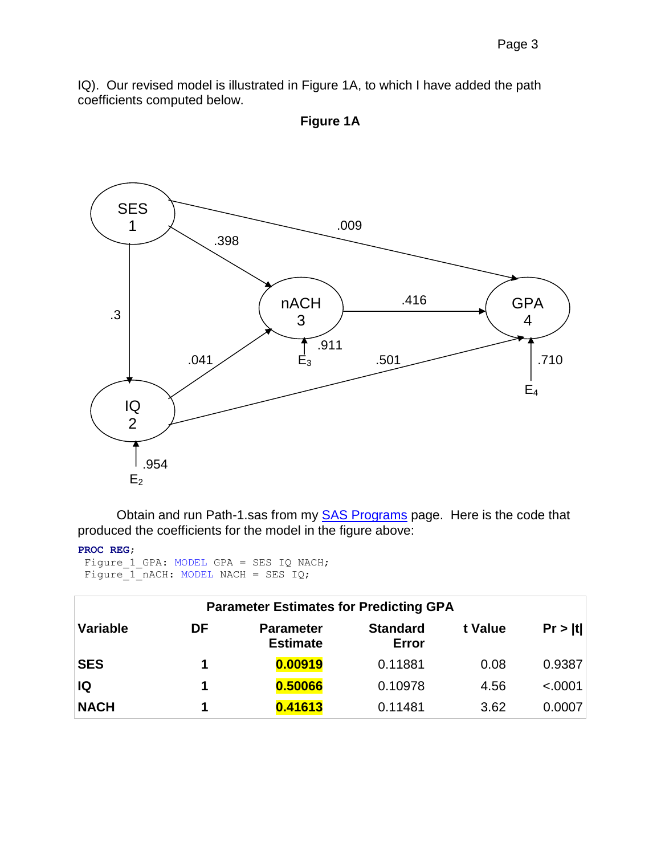IQ). Our revised model is illustrated in Figure 1A, to which I have added the path coefficients computed below.



**Figure 1A**

Obtain and run Path-1.sas from my **SAS Programs** page. Here is the code that produced the coefficients for the model in the figure above:

```
PROC REG;
```

```
Figure 1 GPA: MODEL GPA = SES IQ NACH;
Figure_1\_nACH: MODEL NACH = SES IQ;
```

| <b>Parameter Estimates for Predicting GPA</b> |    |                                     |                                 |         |         |
|-----------------------------------------------|----|-------------------------------------|---------------------------------|---------|---------|
| Variable                                      | DF | <b>Parameter</b><br><b>Estimate</b> | <b>Standard</b><br><b>Error</b> | t Value | Pr >  t |
| <b>SES</b>                                    |    | 0.00919                             | 0.11881                         | 0.08    | 0.9387  |
| IQ                                            | 1  | 0.50066                             | 0.10978                         | 4.56    | < .0001 |
| <b>NACH</b>                                   | 1  | 0.41613                             | 0.11481                         | 3.62    | 0.0007  |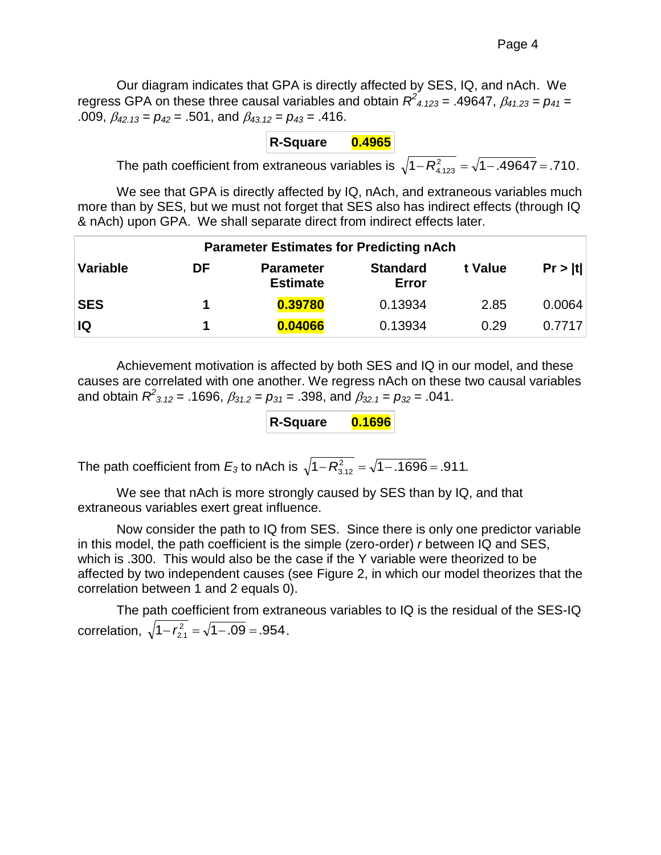Our diagram indicates that GPA is directly affected by SES, IQ, and nAch. We regress GPA on these three causal variables and obtain  $R^2$ <sub>4.123</sub> = .49647,  $\beta$ <sub>41.23</sub> =  $p_{41}$  = .009, *42.13* = *p<sup>42</sup>* = .501, and *43.12* = *p<sup>43</sup>* = .416.

**R-Square 0.4965**

The path coefficient from extraneous variables is  $\sqrt{1-R_{4.123}^2} = \sqrt{1-.49647} = .710$ .

We see that GPA is directly affected by IQ, nAch, and extraneous variables much more than by SES, but we must not forget that SES also has indirect effects (through IQ & nAch) upon GPA. We shall separate direct from indirect effects later.

| <b>Parameter Estimates for Predicting nAch</b> |    |                                     |                                 |         |         |
|------------------------------------------------|----|-------------------------------------|---------------------------------|---------|---------|
| <b>Variable</b>                                | DF | <b>Parameter</b><br><b>Estimate</b> | <b>Standard</b><br><b>Error</b> | t Value | Pr >  t |
| <b>SES</b>                                     |    | 0.39780                             | 0.13934                         | 2.85    | 0.0064  |
| IQ                                             |    | 0.04066                             | 0.13934                         | 0.29    | 0.7717  |

Achievement motivation is affected by both SES and IQ in our model, and these causes are correlated with one another. We regress nAch on these two causal variables and obtain  $R^2_{3.12}$  = .1696,  $\beta_{31.2}$  =  $p_{31}$  = .398, and  $\beta_{32.1}$  =  $p_{32}$  = .041.

| <b>R-Square</b> | 0.1696 |
|-----------------|--------|
|                 |        |

The path coefficient from  $E_3$  to nAch is  $\sqrt{1\!-\!R_{3.12}^2}=\sqrt{1\!-\!0.1696}$  = .911.

We see that nAch is more strongly caused by SES than by IQ, and that extraneous variables exert great influence.

Now consider the path to IQ from SES. Since there is only one predictor variable in this model, the path coefficient is the simple (zero-order) *r* between IQ and SES, which is .300. This would also be the case if the Y variable were theorized to be affected by two independent causes (see Figure 2, in which our model theorizes that the correlation between 1 and 2 equals 0).

The path coefficient from extraneous variables to IQ is the residual of the SES-IQ correlation,  $\sqrt{1-r_{2.1}^2} = \sqrt{1-.09} = .954$ .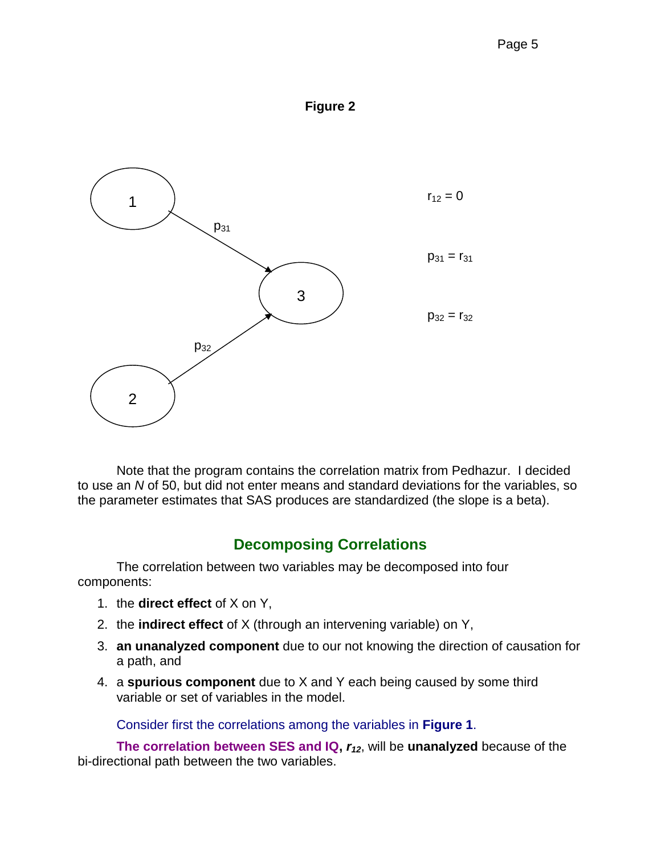



Note that the program contains the correlation matrix from Pedhazur. I decided to use an *N* of 50, but did not enter means and standard deviations for the variables, so the parameter estimates that SAS produces are standardized (the slope is a beta).

# **Decomposing Correlations**

The correlation between two variables may be decomposed into four components:

- 1. the **direct effect** of X on Y,
- 2. the **indirect effect** of X (through an intervening variable) on Y,
- 3. **an unanalyzed component** due to our not knowing the direction of causation for a path, and
- 4. a **spurious component** due to X and Y each being caused by some third variable or set of variables in the model.

Consider first the correlations among the variables in **Figure 1**.

**The correlation between SES and IQ,** *r12*, will be **unanalyzed** because of the bi-directional path between the two variables.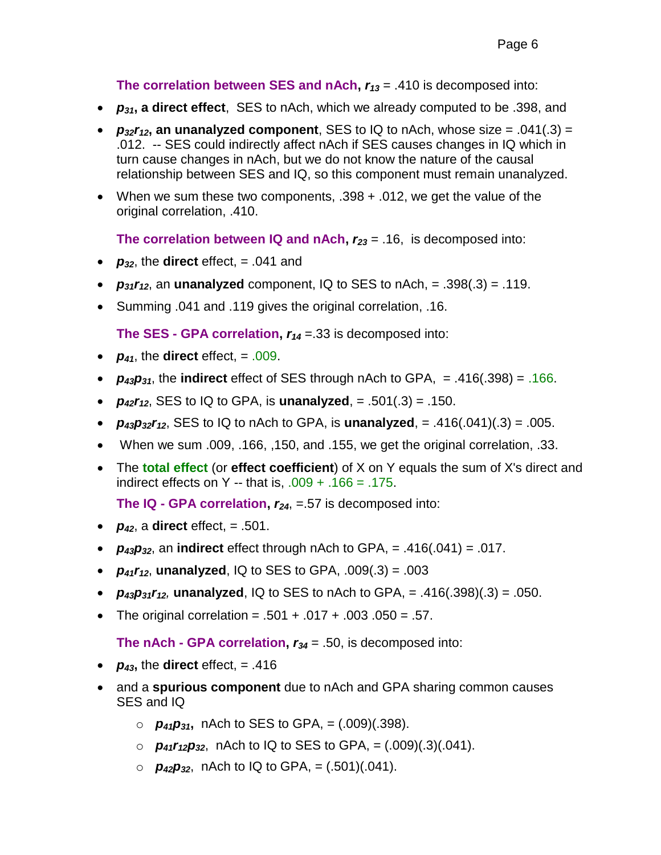**The correlation between SES and nAch,** *r<sup>13</sup>* = .410 is decomposed into:

- *p31***, a direct effect**, SES to nAch, which we already computed to be .398, and
- $p_{32}r_{12}$ , an unanalyzed component, SES to IQ to nAch, whose size = .041(.3) = .012. -- SES could indirectly affect nAch if SES causes changes in IQ which in turn cause changes in nAch, but we do not know the nature of the causal relationship between SES and IQ, so this component must remain unanalyzed.
- When we sum these two components, .398 + .012, we get the value of the original correlation, .410.

**The correlation between IQ and nAch,** *r<sup>23</sup>* = .16, is decomposed into:

- $p_{32}$ , the **direct** effect, = .041 and
- $p_{31}r_{12}$ , an **unanalyzed** component, IQ to SES to nAch, = .398(.3) = .119.
- Summing .041 and .119 gives the original correlation, .16.

**The SES - GPA correlation,** *r<sup>14</sup>* =.33 is decomposed into:

- $p_{41}$ , the **direct** effect, = .009.
- $p_{43}p_{31}$ , the **indirect** effect of SES through nAch to GPA, = .416(.398) = .166.
- $p_{42}r_{12}$ , SES to IQ to GPA, is **unanalyzed**, = .501(.3) = .150.
- $p_{43}p_{32}r_{12}$ , SES to IQ to nAch to GPA, is **unanalyzed**, = .416(.041)(.3) = .005.
- When we sum .009, .166, ,150, and .155, we get the original correlation, .33.
- The **total effect** (or **effect coefficient**) of X on Y equals the sum of X's direct and indirect effects on Y -- that is,  $.009 + .166 = .175$ .

**The IQ - GPA correlation,** *r24*, =.57 is decomposed into:

- $p_{42}$ , a **direct** effect, = .501.
- $p_{43}p_{32}$ , an **indirect** effect through nAch to GPA, = .416(.041) = .017.
- $p_{41}r_{12}$ , **unanalyzed**, IQ to SES to GPA, .009(.3) = .003
- $p_{43}p_{31}r_{12}$ , unanalyzed, IQ to SES to nAch to GPA, = .416(.398)(.3) = .050.
- The original correlation =  $.501 + .017 + .003$ .050 = .57.

**The nAch - GPA correlation,** *r<sup>34</sup>* = .50, is decomposed into:

- $p_{43}$ , the **direct** effect, = .416
- and a **spurious component** due to nAch and GPA sharing common causes SES and IQ
	- o *p41p31***,** nAch to SES to GPA, = (.009)(.398).
	- o *p41r12p32*, nAch to IQ to SES to GPA, = (.009)(.3)(.041).
	- $\circ$  *p*<sub>42</sub>*p*<sub>32</sub>, nAch to IQ to GPA, = (.501)(.041).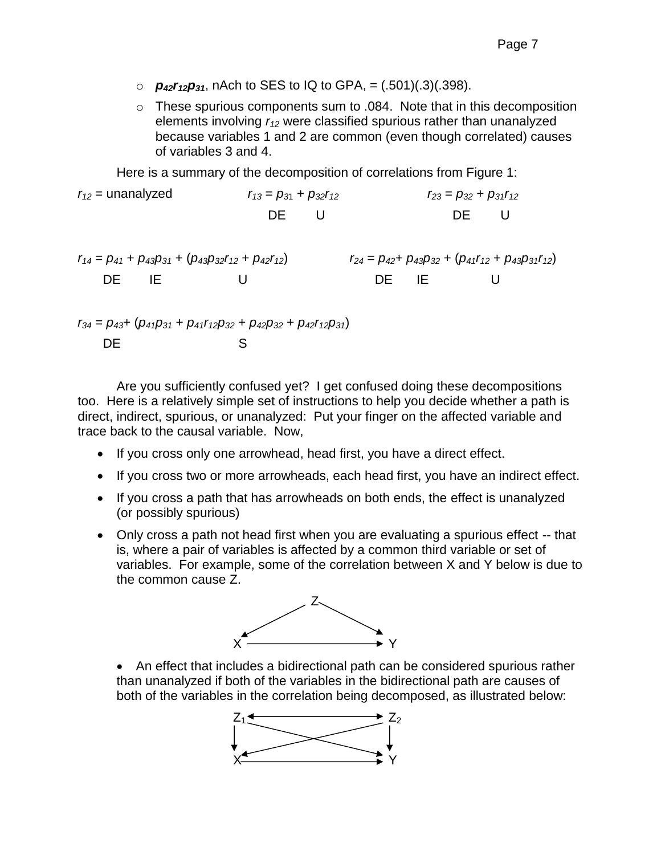- $\rho_{42}r_{12}p_{31}$ , nAch to SES to IQ to GPA, =  $(.501)(.3)(.398)$ .
- o These spurious components sum to .084. Note that in this decomposition elements involving *r<sup>12</sup>* were classified spurious rather than unanalyzed because variables 1 and 2 are common (even though correlated) causes of variables 3 and 4.

Here is a summary of the decomposition of correlations from Figure 1:

| $r_{12}$ = unanalyzed | $r_{13} = p_{31} + p_{32}r_{12}$ | $r_{23} = p_{32} + p_{31}r_{12}$ |  |
|-----------------------|----------------------------------|----------------------------------|--|
|                       | DE U                             | DE U                             |  |

$$
r_{14} = p_{41} + p_{43}p_{31} + (p_{43}p_{32}r_{12} + p_{42}r_{12})
$$
  
DE IE IE  
U  
DE IE  
DE IE

$$
r_{34} = p_{43} + (p_{41}p_{31} + p_{41}r_{12}p_{32} + p_{42}p_{32} + p_{42}r_{12}p_{31})
$$
  
DE  
S

Are you sufficiently confused yet? I get confused doing these decompositions too. Here is a relatively simple set of instructions to help you decide whether a path is direct, indirect, spurious, or unanalyzed: Put your finger on the affected variable and trace back to the causal variable. Now,

- If you cross only one arrowhead, head first, you have a direct effect.
- If you cross two or more arrowheads, each head first, you have an indirect effect.
- If you cross a path that has arrowheads on both ends, the effect is unanalyzed (or possibly spurious)
- Only cross a path not head first when you are evaluating a spurious effect -- that is, where a pair of variables is affected by a common third variable or set of variables. For example, some of the correlation between X and Y below is due to the common cause Z.



 An effect that includes a bidirectional path can be considered spurious rather than unanalyzed if both of the variables in the bidirectional path are causes of both of the variables in the correlation being decomposed, as illustrated below:

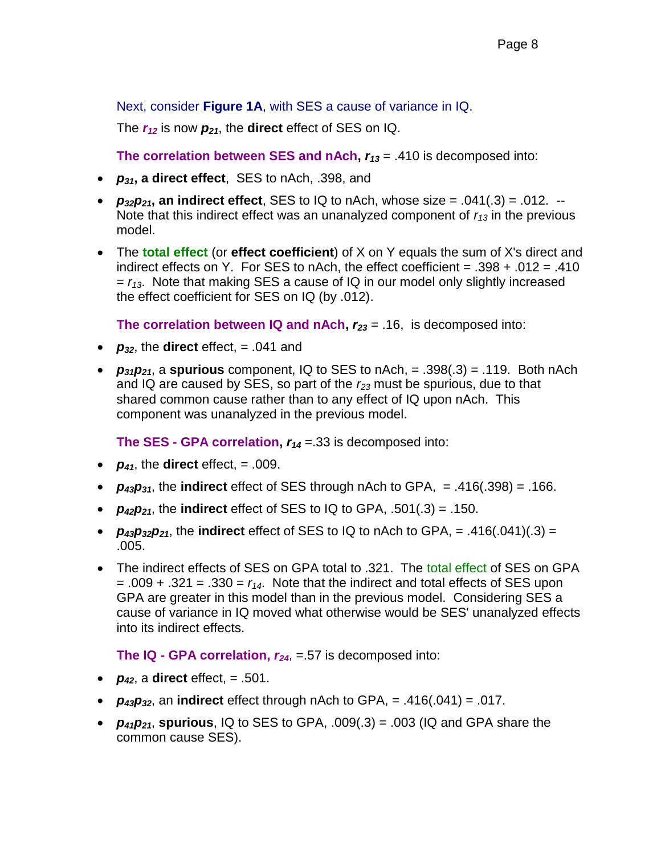Next, consider **Figure 1A**, with SES a cause of variance in IQ.

The *r<sup>12</sup>* is now *p21*, the **direct** effect of SES on IQ.

**The correlation between SES and nAch,** *r<sup>13</sup>* = .410 is decomposed into:

- *p31***, a direct effect**, SES to nAch, .398, and
- $p_{32}p_{21}$ , an indirect effect, SES to IQ to nAch, whose size =  $.041(.3) = .012.$ Note that this indirect effect was an unanalyzed component of *r<sup>13</sup>* in the previous model.
- The **total effect** (or **effect coefficient**) of X on Y equals the sum of X's direct and indirect effects on Y. For SES to nAch, the effect coefficient =  $.398 + .012 = .410$  $r_{13}$ . Note that making SES a cause of IQ in our model only slightly increased the effect coefficient for SES on IQ (by .012).

**The correlation between IQ and nAch,** *r<sup>23</sup>* = .16, is decomposed into:

- $p_{32}$ , the **direct** effect,  $= .041$  and
- $p_{31}p_{21}$ , a **spurious** component, IQ to SES to nAch, = .398(.3) = .119. Both nAch and IQ are caused by SES, so part of the *r<sup>23</sup>* must be spurious, due to that shared common cause rather than to any effect of IQ upon nAch. This component was unanalyzed in the previous model.

**The SES - GPA correlation,** *r<sup>14</sup>* =.33 is decomposed into:

- $p_{41}$ , the **direct** effect, = .009.
- $p_{43}p_{31}$ , the **indirect** effect of SES through nAch to GPA, = .416(.398) = .166.
- $p_{42}p_{21}$ , the **indirect** effect of SES to IQ to GPA, .501(.3) = .150.
- $p_{43}p_{32}p_{21}$ , the **indirect** effect of SES to IQ to nAch to GPA, = .416(.041)(.3) = .005.
- The indirect effects of SES on GPA total to .321. The total effect of SES on GPA  $= .009 + .321 = .330 = r<sub>14</sub>$ . Note that the indirect and total effects of SES upon GPA are greater in this model than in the previous model. Considering SES a cause of variance in IQ moved what otherwise would be SES' unanalyzed effects into its indirect effects.

**The IQ - GPA correlation,** *r24*, =.57 is decomposed into:

- $p_{42}$ , a **direct** effect, = .501.
- $p_{43}p_{32}$ , an **indirect** effect through nAch to GPA, = .416(.041) = .017.
- $p_{41}p_{21}$ , spurious, IQ to SES to GPA, .009(.3) = .003 (IQ and GPA share the common cause SES).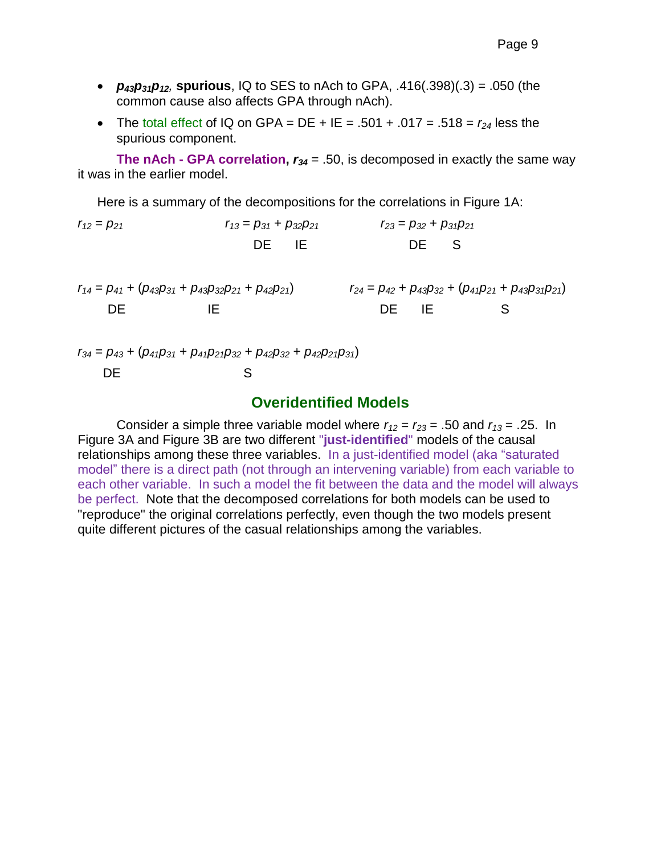- $p_{43}p_{31}p_{12}$ , spurious, IQ to SES to nAch to GPA, .416(.398)(.3) = .050 (the common cause also affects GPA through nAch).
- The total effect of IQ on GPA = DE + IE = .501 + .017 = .518 =  $r_{24}$  less the spurious component.

**The nAch - GPA correlation,**  $r_{34} = .50$ **, is decomposed in exactly the same way** it was in the earlier model.

Here is a summary of the decompositions for the correlations in Figure 1A:

 $r_{12} = p_{21}$   $r_{13} = p_{31} + p_{32}p_{21}$   $r_{23} = p_{32} + p_{31}p_{21}$ DE IE DE S

$$
r_{14} = p_{41} + (p_{43}p_{31} + p_{43}p_{32}p_{21} + p_{42}p_{21})
$$
  
DE 
$$
r_{24} = p_{42} + p_{43}p_{32} + (p_{41}p_{21} + p_{43}p_{31}p_{21})
$$
  
DE 
$$
r_{15} = p_{42} + p_{43}p_{32} + (p_{41}p_{21} + p_{43}p_{31}p_{21})
$$

*r<sup>34</sup>* = *p<sup>43</sup>* + (*p41p<sup>31</sup>* + *p41p21p<sup>32</sup>* + *p42p<sup>32</sup>* + *p42p21p31*) DE S

#### **Overidentified Models**

Consider a simple three variable model where  $r_{12} = r_{23} = .50$  and  $r_{13} = .25$ . In Figure 3A and Figure 3B are two different "**just-identified**" models of the causal relationships among these three variables. In a just-identified model (aka "saturated model" there is a direct path (not through an intervening variable) from each variable to each other variable. In such a model the fit between the data and the model will always be perfect. Note that the decomposed correlations for both models can be used to "reproduce" the original correlations perfectly, even though the two models present quite different pictures of the casual relationships among the variables.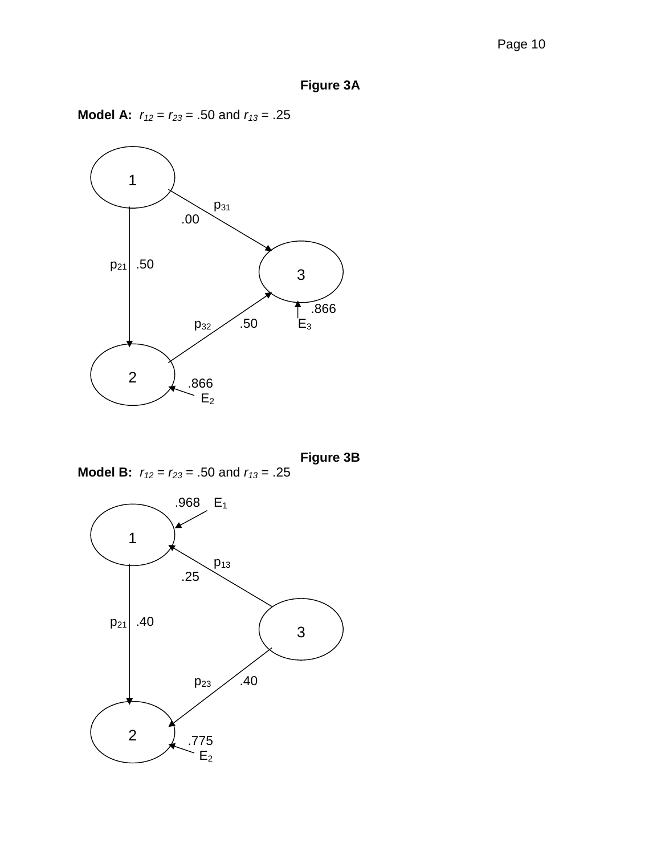**Model A:**  $r_{12} = r_{23} = .50$  and  $r_{13} = .25$ 



**Figure 3B**

**Model B:**  $r_{12} = r_{23} = .50$  and  $r_{13} = .25$ 

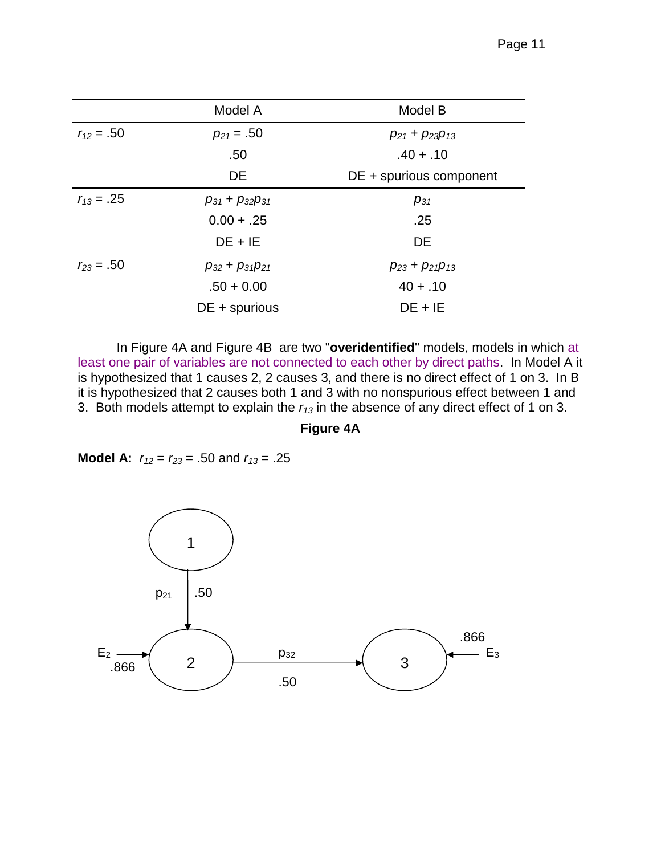|                | Model A                   | Model B                 |
|----------------|---------------------------|-------------------------|
| $r_{12} = .50$ | $p_{21} = .50$            | $p_{21} + p_{23}p_{13}$ |
|                | .50                       | $.40 + .10$             |
|                | DE                        | DE + spurious component |
| $r_{13} = .25$ | $p_{31} + p_{32}p_{31}$   | $p_{31}$                |
|                | $0.00 + .25$              | .25                     |
|                | $DE + IE$                 | <b>DE</b>               |
| $r_{23} = .50$ | $p_{32}$ + $p_{31}p_{21}$ | $p_{23} + p_{21}p_{13}$ |
|                | $.50 + 0.00$              | $40 + .10$              |
|                | $DE + spurious$           | $DE + IE$               |

In Figure 4A and Figure 4B are two "**overidentified**" models, models in which at least one pair of variables are not connected to each other by direct paths. In Model A it is hypothesized that 1 causes 2, 2 causes 3, and there is no direct effect of 1 on 3. In B it is hypothesized that 2 causes both 1 and 3 with no nonspurious effect between 1 and 3. Both models attempt to explain the *r<sup>13</sup>* in the absence of any direct effect of 1 on 3.

**Figure 4A**

**Model A:** *r<sup>12</sup>* = *r<sup>23</sup>* = .50 and *r<sup>13</sup>* = .25

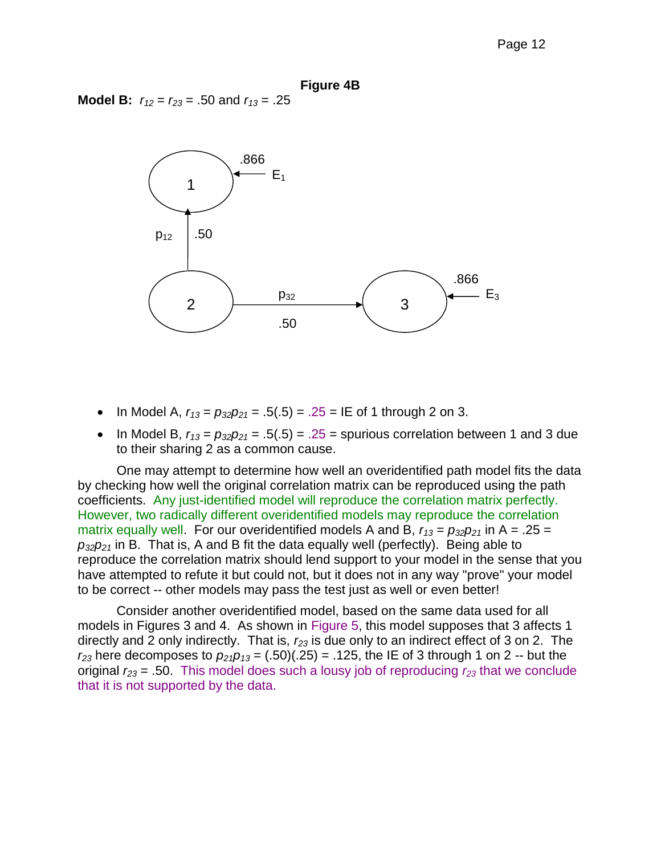**Model B:**  $r_{12} = r_{23} = .50$  and  $r_{13} = .25$ 



- In Model A,  $r_{13} = p_{32}p_{21} = .5(.5) = .25 = \text{IE of 1 through 2 on 3.}$
- In Model B,  $r_{13} = p_{32}p_{21} = .5(.5) = .25$  = spurious correlation between 1 and 3 due to their sharing 2 as a common cause.

One may attempt to determine how well an overidentified path model fits the data by checking how well the original correlation matrix can be reproduced using the path coefficients. Any just-identified model will reproduce the correlation matrix perfectly. However, two radically different overidentified models may reproduce the correlation matrix equally well. For our overidentified models A and B,  $r_{13} = p_{32}p_{21}$  in A = .25 =  $p_{32}p_{21}$  in B. That is, A and B fit the data equally well (perfectly). Being able to reproduce the correlation matrix should lend support to your model in the sense that you have attempted to refute it but could not, but it does not in any way "prove" your model to be correct -- other models may pass the test just as well or even better!

Consider another overidentified model, based on the same data used for all models in Figures 3 and 4. As shown in Figure 5, this model supposes that 3 affects 1 directly and 2 only indirectly. That is, *r<sup>23</sup>* is due only to an indirect effect of 3 on 2. The  $r_{23}$  here decomposes to  $p_{21}p_{13} = (.50)(.25) = .125$ , the IE of 3 through 1 on 2 -- but the original *r<sup>23</sup>* = .50. This model does such a lousy job of reproducing *r<sup>23</sup>* that we conclude that it is not supported by the data.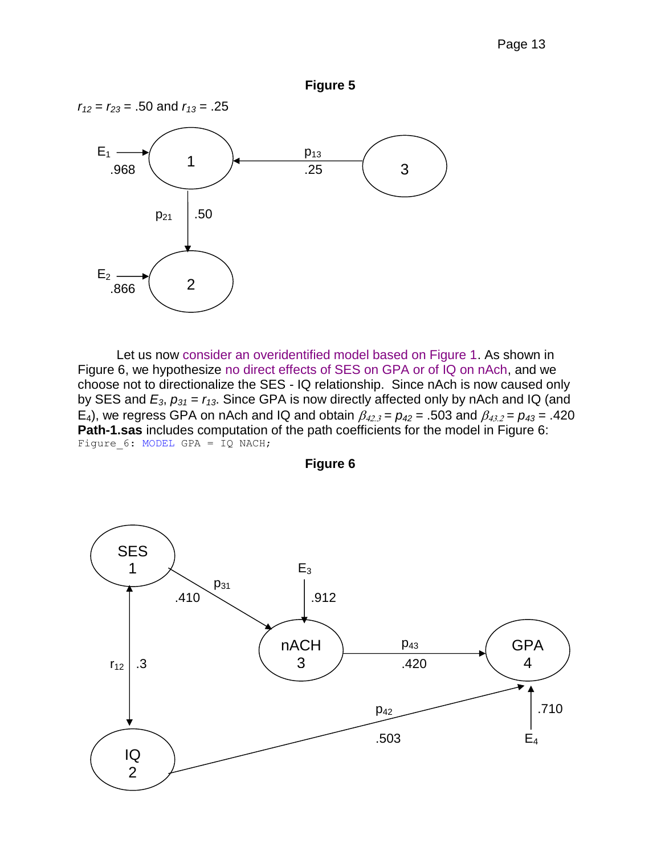

Let us now consider an overidentified model based on Figure 1. As shown in Figure 6, we hypothesize no direct effects of SES on GPA or of IQ on nAch, and we choose not to directionalize the SES - IQ relationship. Since nAch is now caused only by SES and  $E_3$ ,  $p_{31} = r_{13}$ . Since GPA is now directly affected only by nAch and IQ (and E<sub>4</sub>), we regress GPA on nAch and IQ and obtain  $\beta_{42.3} = p_{42} = .503$  and  $\beta_{43.2} = p_{43} = .420$ **Path-1.sas** includes computation of the path coefficients for the model in Figure 6: Figure\_6: MODEL GPA = IQ NACH;



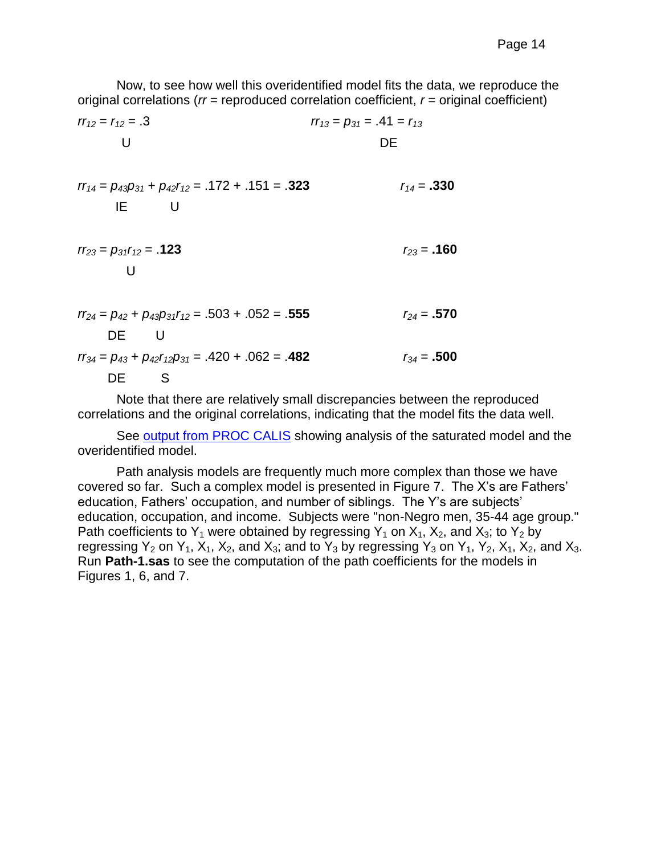Now, to see how well this overidentified model fits the data, we reproduce the original correlations (*rr* = reproduced correlation coefficient, *r* = original coefficient)

$$
rr_{12} = r_{12} = .3
$$
  
\nU  
\nDE  
\n
$$
rr_{14} = p_{43}p_{31} + p_{42}r_{12} = .172 + .151 = .323
$$
  
\n
$$
rr_{23} = p_{31}r_{12} = .123
$$
  
\n
$$
rr_{24} = p_{42} + p_{43}p_{31}r_{12} = .503 + .052 = .555
$$
  
\n
$$
rr_{34} = p_{43} + p_{42}r_{12}p_{31} = .420 + .062 = .482
$$
  
\n
$$
r_{15} = 500
$$
  
\n
$$
r_{16} = 500
$$
  
\n
$$
r_{17} = 500
$$
  
\n
$$
r_{18} = 500
$$
  
\n
$$
r_{19} = 500
$$
  
\n
$$
r_{10} = 500
$$
  
\n
$$
r_{11} = 500
$$
  
\n
$$
r_{12} = 500
$$
  
\n
$$
r_{13} = p_{13} + p_{12}r_{12}p_{31} = .420 + .062 = .482
$$
  
\n
$$
r_{13} = 500
$$

Note that there are relatively small discrepancies between the reproduced correlations and the original correlations, indicating that the model fits the data well.

See [output from PROC CALIS](http://core.ecu.edu/psyc/wuenschk/MV/SEM/Pedhazur_Calis.pdf) showing analysis of the saturated model and the overidentified model.

Path analysis models are frequently much more complex than those we have covered so far. Such a complex model is presented in Figure 7. The X's are Fathers' education, Fathers' occupation, and number of siblings. The Y's are subjects' education, occupation, and income. Subjects were "non-Negro men, 35-44 age group." Path coefficients to  $Y_1$  were obtained by regressing  $Y_1$  on  $X_1$ ,  $X_2$ , and  $X_3$ ; to  $Y_2$  by regressing  $Y_2$  on  $Y_1$ ,  $X_1$ ,  $X_2$ , and  $X_3$ ; and to  $Y_3$  by regressing  $Y_3$  on  $Y_1$ ,  $Y_2$ ,  $X_1$ ,  $X_2$ , and  $X_3$ . Run **Path-1.sas** to see the computation of the path coefficients for the models in Figures 1, 6, and 7.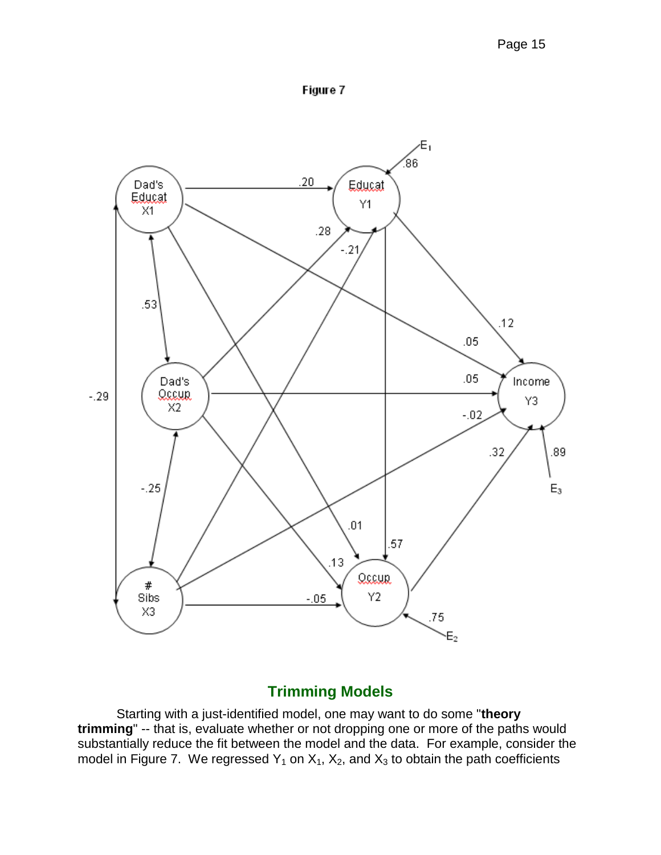



# **Trimming Models**

Starting with a just-identified model, one may want to do some "**theory trimming**" -- that is, evaluate whether or not dropping one or more of the paths would substantially reduce the fit between the model and the data. For example, consider the model in Figure 7. We regressed  $Y_1$  on  $X_1$ ,  $X_2$ , and  $X_3$  to obtain the path coefficients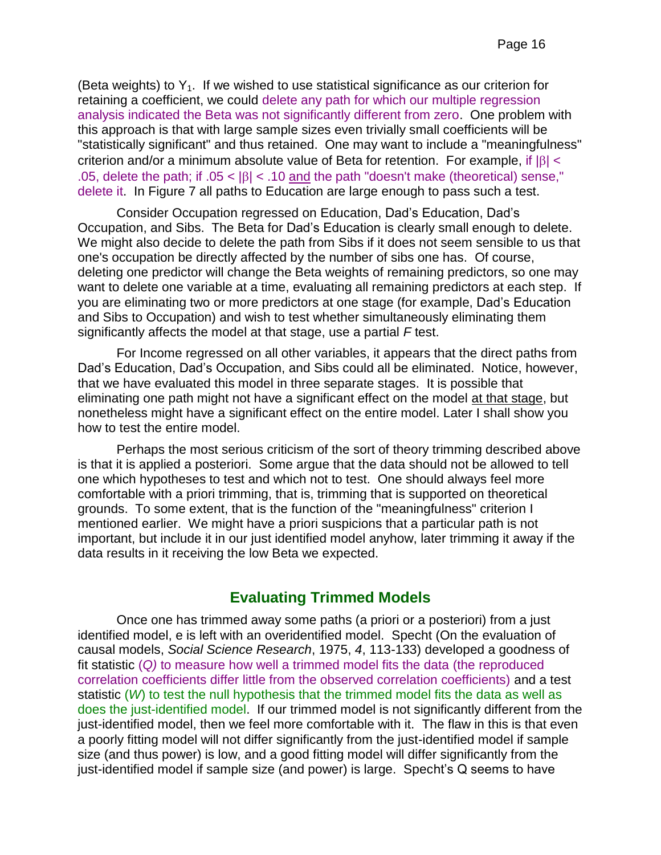(Beta weights) to  $Y_1$ . If we wished to use statistical significance as our criterion for retaining a coefficient, we could delete any path for which our multiple regression analysis indicated the Beta was not significantly different from zero. One problem with this approach is that with large sample sizes even trivially small coefficients will be "statistically significant" and thus retained. One may want to include a "meaningfulness" criterion and/or a minimum absolute value of Beta for retention. For example, if  $|\beta|$  < .05, delete the path; if  $.05 < |\beta| < .10$  and the path "doesn't make (theoretical) sense," delete it. In Figure 7 all paths to Education are large enough to pass such a test.

Consider Occupation regressed on Education, Dad's Education, Dad's Occupation, and Sibs. The Beta for Dad's Education is clearly small enough to delete. We might also decide to delete the path from Sibs if it does not seem sensible to us that one's occupation be directly affected by the number of sibs one has. Of course, deleting one predictor will change the Beta weights of remaining predictors, so one may want to delete one variable at a time, evaluating all remaining predictors at each step. If you are eliminating two or more predictors at one stage (for example, Dad's Education and Sibs to Occupation) and wish to test whether simultaneously eliminating them significantly affects the model at that stage, use a partial *F* test.

For Income regressed on all other variables, it appears that the direct paths from Dad's Education, Dad's Occupation, and Sibs could all be eliminated. Notice, however, that we have evaluated this model in three separate stages. It is possible that eliminating one path might not have a significant effect on the model at that stage, but nonetheless might have a significant effect on the entire model. Later I shall show you how to test the entire model.

Perhaps the most serious criticism of the sort of theory trimming described above is that it is applied a posteriori. Some argue that the data should not be allowed to tell one which hypotheses to test and which not to test. One should always feel more comfortable with a priori trimming, that is, trimming that is supported on theoretical grounds. To some extent, that is the function of the "meaningfulness" criterion I mentioned earlier. We might have a priori suspicions that a particular path is not important, but include it in our just identified model anyhow, later trimming it away if the data results in it receiving the low Beta we expected.

#### **Evaluating Trimmed Models**

Once one has trimmed away some paths (a priori or a posteriori) from a just identified model, e is left with an overidentified model. Specht (On the evaluation of causal models, *Social Science Research*, 1975, *4*, 113-133) developed a goodness of fit statistic (*Q)* to measure how well a trimmed model fits the data (the reproduced correlation coefficients differ little from the observed correlation coefficients) and a test statistic (*W*) to test the null hypothesis that the trimmed model fits the data as well as does the just-identified model. If our trimmed model is not significantly different from the just-identified model, then we feel more comfortable with it. The flaw in this is that even a poorly fitting model will not differ significantly from the just-identified model if sample size (and thus power) is low, and a good fitting model will differ significantly from the just-identified model if sample size (and power) is large. Specht's Q seems to have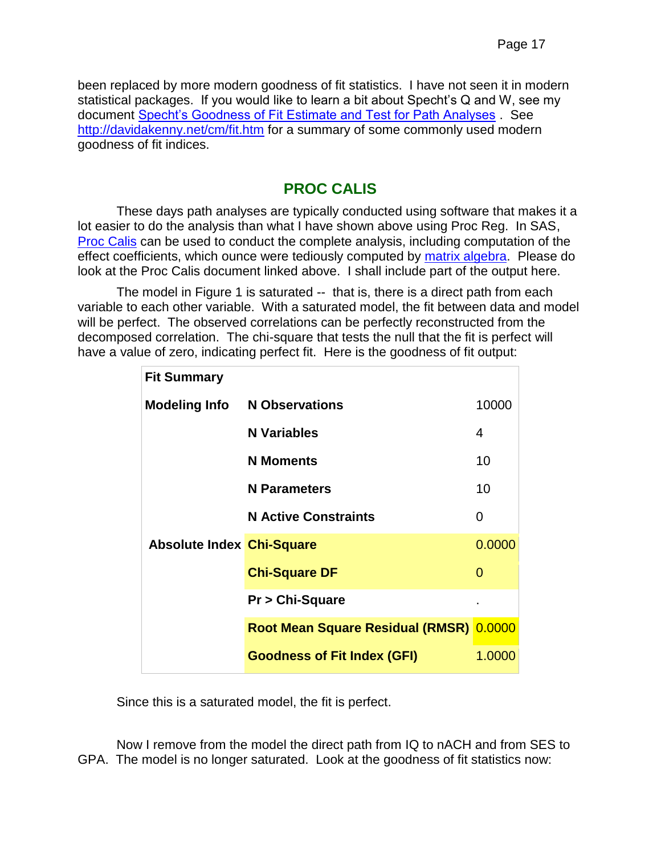been replaced by more modern goodness of fit statistics. I have not seen it in modern statistical packages. If you would like to learn a bit about Specht's Q and W, see my document [Specht's Goodness of Fit Estimate and Test for Path Analyses](http://core.ecu.edu/psyc/wuenschk/MV/SEM/Path-Specht.docx) . See [http://davidakenny.net/cm/fit.htm](Measuring%20Model%20Fit%20(David%20A%20Kenney)) for a summary of some commonly used modern goodness of fit indices.

### **PROC CALIS**

These days path analyses are typically conducted using software that makes it a lot easier to do the analysis than what I have shown above using Proc Reg. In SAS, [Proc Calis](http://core.ecu.edu/psyc/wuenschk/MV/SEM/Pedhazur_Calis.pdf) can be used to conduct the complete analysis, including computation of the effect coefficients, which ounce were tediously computed by [matrix algebra.](http://core.ecu.edu/psyc/wuenschk/MV/SEM/Path_Effect-Coefficients_Matrix.docx) Please do look at the Proc Calis document linked above. I shall include part of the output here.

The model in Figure 1 is saturated -- that is, there is a direct path from each variable to each other variable. With a saturated model, the fit between data and model will be perfect. The observed correlations can be perfectly reconstructed from the decomposed correlation. The chi-square that tests the null that the fit is perfect will have a value of zero, indicating perfect fit. Here is the goodness of fit output:

| <b>Fit Summary</b>               |                                         |        |
|----------------------------------|-----------------------------------------|--------|
|                                  | <b>Modeling Info N Observations</b>     | 10000  |
|                                  | <b>N</b> Variables                      | 4      |
|                                  | <b>N</b> Moments                        | 10     |
|                                  | <b>N</b> Parameters                     | 10     |
|                                  | <b>N Active Constraints</b>             | 0      |
| <b>Absolute Index Chi-Square</b> |                                         | 0.0000 |
|                                  | <b>Chi-Square DF</b>                    | 0      |
|                                  | Pr > Chi-Square                         |        |
|                                  | Root Mean Square Residual (RMSR) 0.0000 |        |
|                                  | <b>Goodness of Fit Index (GFI)</b>      | 1.0000 |

Since this is a saturated model, the fit is perfect.

Now I remove from the model the direct path from IQ to nACH and from SES to GPA. The model is no longer saturated. Look at the goodness of fit statistics now: